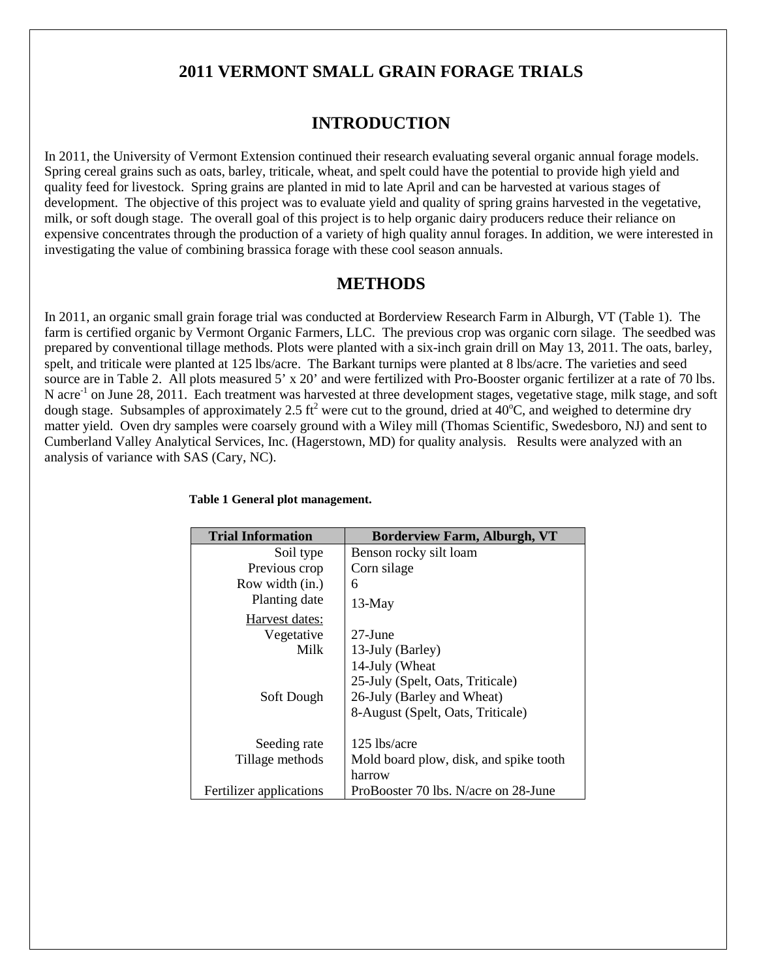## **2011 VERMONT SMALL GRAIN FORAGE TRIALS**

## **INTRODUCTION**

In 2011, the University of Vermont Extension continued their research evaluating several organic annual forage models. Spring cereal grains such as oats, barley, triticale, wheat, and spelt could have the potential to provide high yield and quality feed for livestock. Spring grains are planted in mid to late April and can be harvested at various stages of development. The objective of this project was to evaluate yield and quality of spring grains harvested in the vegetative, milk, or soft dough stage. The overall goal of this project is to help organic dairy producers reduce their reliance on expensive concentrates through the production of a variety of high quality annul forages. In addition, we were interested in investigating the value of combining brassica forage with these cool season annuals.

### **METHODS**

In 2011, an organic small grain forage trial was conducted at Borderview Research Farm in Alburgh, VT (Table 1). The farm is certified organic by Vermont Organic Farmers, LLC. The previous crop was organic corn silage. The seedbed was prepared by conventional tillage methods. Plots were planted with a six-inch grain drill on May 13, 2011. The oats, barley, spelt, and triticale were planted at 125 lbs/acre. The Barkant turnips were planted at 8 lbs/acre. The varieties and seed source are in Table 2. All plots measured 5' x 20' and were fertilized with Pro-Booster organic fertilizer at a rate of 70 lbs. N acre<sup>-1</sup> on June 28, 2011. Each treatment was harvested at three development stages, vegetative stage, milk stage, and soft dough stage. Subsamples of approximately 2.5 ft<sup>2</sup> were cut to the ground, dried at  $40^{\circ}$ C, and weighed to determine dry matter yield. Oven dry samples were coarsely ground with a Wiley mill (Thomas Scientific, Swedesboro, NJ) and sent to Cumberland Valley Analytical Services, Inc. (Hagerstown, MD) for quality analysis. Results were analyzed with an analysis of variance with SAS (Cary, NC).

| <b>Trial Information</b> | <b>Borderview Farm, Alburgh, VT</b>    |
|--------------------------|----------------------------------------|
| Soil type                | Benson rocky silt loam                 |
| Previous crop            | Corn silage                            |
| Row width (in.)          | 6                                      |
| Planting date            | $13-May$                               |
| Harvest dates:           |                                        |
| Vegetative               | $27$ -June                             |
| Milk                     | 13-July (Barley)                       |
|                          | 14-July (Wheat                         |
|                          | 25-July (Spelt, Oats, Triticale)       |
| Soft Dough               | 26-July (Barley and Wheat)             |
|                          | 8-August (Spelt, Oats, Triticale)      |
| Seeding rate             | 125 lbs/acre                           |
|                          |                                        |
| Tillage methods          | Mold board plow, disk, and spike tooth |
|                          | harrow                                 |
| Fertilizer applications  | ProBooster 70 lbs. N/acre on 28-June   |

#### **Table 1 General plot management.**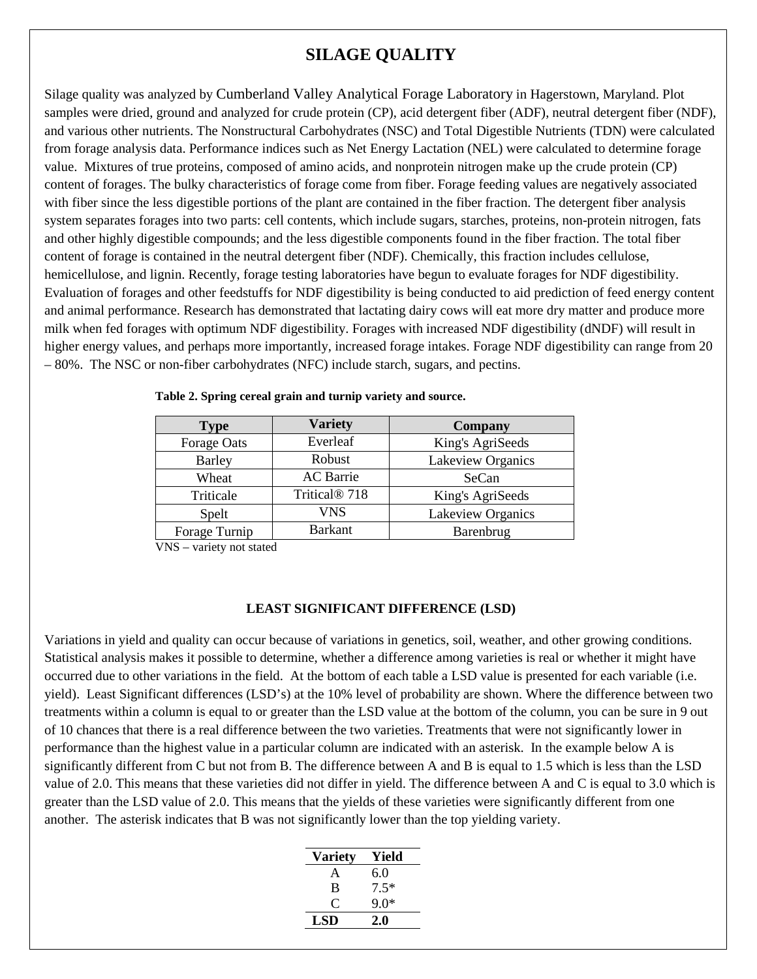## **SILAGE QUALITY**

Silage quality was analyzed by Cumberland Valley Analytical Forage Laboratory in Hagerstown, Maryland. Plot samples were dried, ground and analyzed for crude protein (CP), acid detergent fiber (ADF), neutral detergent fiber (NDF), and various other nutrients. The Nonstructural Carbohydrates (NSC) and Total Digestible Nutrients (TDN) were calculated from forage analysis data. Performance indices such as Net Energy Lactation (NEL) were calculated to determine forage value. Mixtures of true proteins, composed of amino acids, and nonprotein nitrogen make up the crude protein (CP) content of forages. The bulky characteristics of forage come from fiber. Forage feeding values are negatively associated with fiber since the less digestible portions of the plant are contained in the fiber fraction. The detergent fiber analysis system separates forages into two parts: cell contents, which include sugars, starches, proteins, non-protein nitrogen, fats and other highly digestible compounds; and the less digestible components found in the fiber fraction. The total fiber content of forage is contained in the neutral detergent fiber (NDF). Chemically, this fraction includes cellulose, hemicellulose, and lignin. Recently, forage testing laboratories have begun to evaluate forages for NDF digestibility. Evaluation of forages and other feedstuffs for NDF digestibility is being conducted to aid prediction of feed energy content and animal performance. Research has demonstrated that lactating dairy cows will eat more dry matter and produce more milk when fed forages with optimum NDF digestibility. Forages with increased NDF digestibility (dNDF) will result in higher energy values, and perhaps more importantly, increased forage intakes. Forage NDF digestibility can range from 20 – 80%. The NSC or non-fiber carbohydrates (NFC) include starch, sugars, and pectins.

| <b>Type</b>   | <b>Variety</b>            | <b>Company</b>    |
|---------------|---------------------------|-------------------|
| Forage Oats   | Everleaf                  | King's AgriSeeds  |
| <b>Barley</b> | Robust                    | Lakeview Organics |
| Wheat         | <b>AC</b> Barrie          | SeCan             |
| Triticale     | Tritical <sup>®</sup> 718 | King's AgriSeeds  |
| Spelt         | <b>VNS</b>                | Lakeview Organics |
| Forage Turnip | <b>Barkant</b>            | Barenbrug         |

 **Table 2. Spring cereal grain and turnip variety and source.**

VNS – variety not stated

#### **LEAST SIGNIFICANT DIFFERENCE (LSD)**

Variations in yield and quality can occur because of variations in genetics, soil, weather, and other growing conditions. Statistical analysis makes it possible to determine, whether a difference among varieties is real or whether it might have occurred due to other variations in the field. At the bottom of each table a LSD value is presented for each variable (i.e. yield). Least Significant differences (LSD's) at the 10% level of probability are shown. Where the difference between two treatments within a column is equal to or greater than the LSD value at the bottom of the column, you can be sure in 9 out of 10 chances that there is a real difference between the two varieties. Treatments that were not significantly lower in performance than the highest value in a particular column are indicated with an asterisk. In the example below A is significantly different from C but not from B. The difference between A and B is equal to 1.5 which is less than the LSD value of 2.0. This means that these varieties did not differ in yield. The difference between A and C is equal to 3.0 which is greater than the LSD value of 2.0. This means that the yields of these varieties were significantly different from one another. The asterisk indicates that B was not significantly lower than the top yielding variety.

| <b>Variety</b> | Yield  |
|----------------|--------|
| A              | 6.0    |
| B              | $7.5*$ |
| C              | ዓ በ*   |
| LSD            | 2.0    |
|                |        |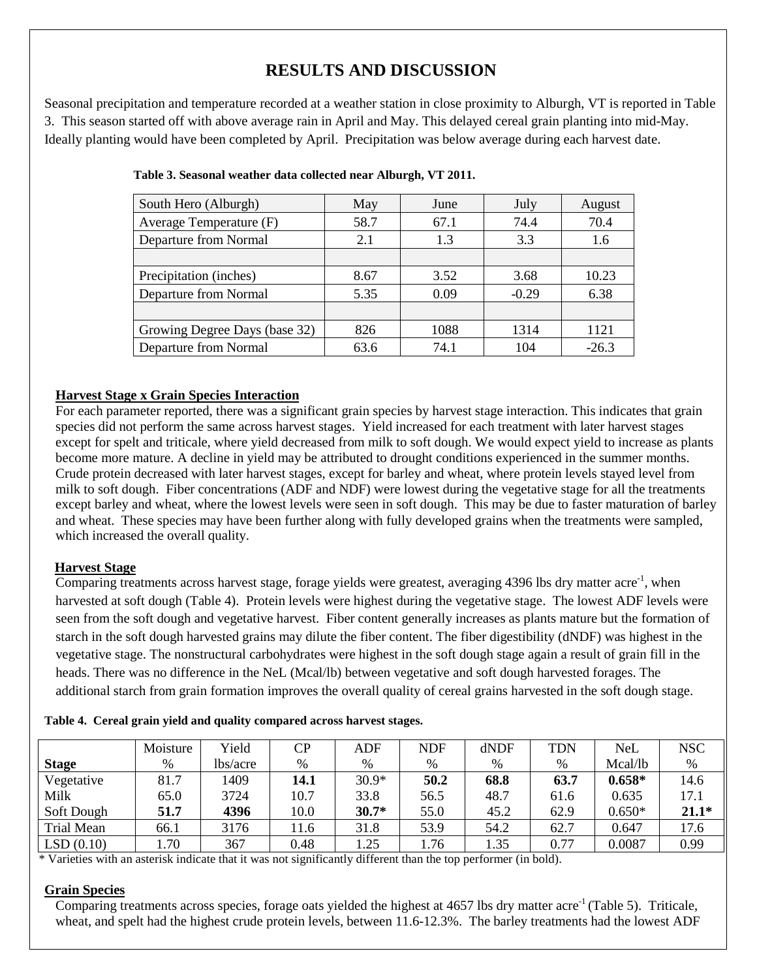# **RESULTS AND DISCUSSION**

Seasonal precipitation and temperature recorded at a weather station in close proximity to Alburgh, VT is reported in Table 3. This season started off with above average rain in April and May. This delayed cereal grain planting into mid-May. Ideally planting would have been completed by April. Precipitation was below average during each harvest date.

| South Hero (Alburgh)          | May  | June | July    | August  |
|-------------------------------|------|------|---------|---------|
| Average Temperature (F)       | 58.7 | 67.1 | 74.4    | 70.4    |
| Departure from Normal         | 2.1  | 1.3  | 3.3     | 1.6     |
|                               |      |      |         |         |
| Precipitation (inches)        | 8.67 | 3.52 | 3.68    | 10.23   |
| Departure from Normal         | 5.35 | 0.09 | $-0.29$ | 6.38    |
|                               |      |      |         |         |
| Growing Degree Days (base 32) | 826  | 1088 | 1314    | 1121    |
| Departure from Normal         | 63.6 | 74.1 | 104     | $-26.3$ |

|  |  |  | Table 3. Seasonal weather data collected near Alburgh, VT 2011. |
|--|--|--|-----------------------------------------------------------------|
|  |  |  |                                                                 |

### **Harvest Stage x Grain Species Interaction**

For each parameter reported, there was a significant grain species by harvest stage interaction. This indicates that grain species did not perform the same across harvest stages. Yield increased for each treatment with later harvest stages except for spelt and triticale, where yield decreased from milk to soft dough. We would expect yield to increase as plants become more mature. A decline in yield may be attributed to drought conditions experienced in the summer months. Crude protein decreased with later harvest stages, except for barley and wheat, where protein levels stayed level from milk to soft dough. Fiber concentrations (ADF and NDF) were lowest during the vegetative stage for all the treatments except barley and wheat, where the lowest levels were seen in soft dough. This may be due to faster maturation of barley and wheat. These species may have been further along with fully developed grains when the treatments were sampled, which increased the overall quality.

### **Harvest Stage**

Comparing treatments across harvest stage, forage yields were greatest, averaging 4396 lbs dry matter acre<sup>-1</sup>, when harvested at soft dough (Table 4). Protein levels were highest during the vegetative stage. The lowest ADF levels were seen from the soft dough and vegetative harvest. Fiber content generally increases as plants mature but the formation of starch in the soft dough harvested grains may dilute the fiber content. The fiber digestibility (dNDF) was highest in the vegetative stage. The nonstructural carbohydrates were highest in the soft dough stage again a result of grain fill in the heads. There was no difference in the NeL (Mcal/lb) between vegetative and soft dough harvested forages. The additional starch from grain formation improves the overall quality of cereal grains harvested in the soft dough stage.

|  |  |  |  |  |  |  | Table 4. Cereal grain yield and quality compared across harvest stages. |
|--|--|--|--|--|--|--|-------------------------------------------------------------------------|
|--|--|--|--|--|--|--|-------------------------------------------------------------------------|

|              | Moisture | Yield    | CP   | ADF     | <b>NDF</b> | dNDF | TDN  | NeL      | <b>NSC</b> |
|--------------|----------|----------|------|---------|------------|------|------|----------|------------|
| <b>Stage</b> | %        | lbs/acre | %    | $\%$    | $\%$       | %    | %    | Mcal/lb  | %          |
| Vegetative   | 81.7     | 1409     | 14.1 | $30.9*$ | 50.2       | 68.8 | 63.7 | $0.658*$ | 14.6       |
| Milk         | 65.0     | 3724     | 10.7 | 33.8    | 56.5       | 48.7 | 61.6 | 0.635    | 17.1       |
| Soft Dough   | 51.7     | 4396     | 10.0 | $30.7*$ | 55.0       | 45.2 | 62.9 | $0.650*$ | $21.1*$    |
| Trial Mean   | 66.1     | 3176     | 11.6 | 31.8    | 53.9       | 54.2 | 62.7 | 0.647    | 17.6       |
| LSD(0.10)    | 1.70     | 367      | 0.48 | 1.25    | . . 76     | 1.35 | 0.77 | 0.0087   | 0.99       |

\* Varieties with an asterisk indicate that it was not significantly different than the top performer (in bold).

#### **Grain Species**

Comparing treatments across species, forage oats yielded the highest at  $4657$  lbs dry matter acre<sup>-1</sup> (Table 5). Triticale, wheat, and spelt had the highest crude protein levels, between 11.6-12.3%. The barley treatments had the lowest ADF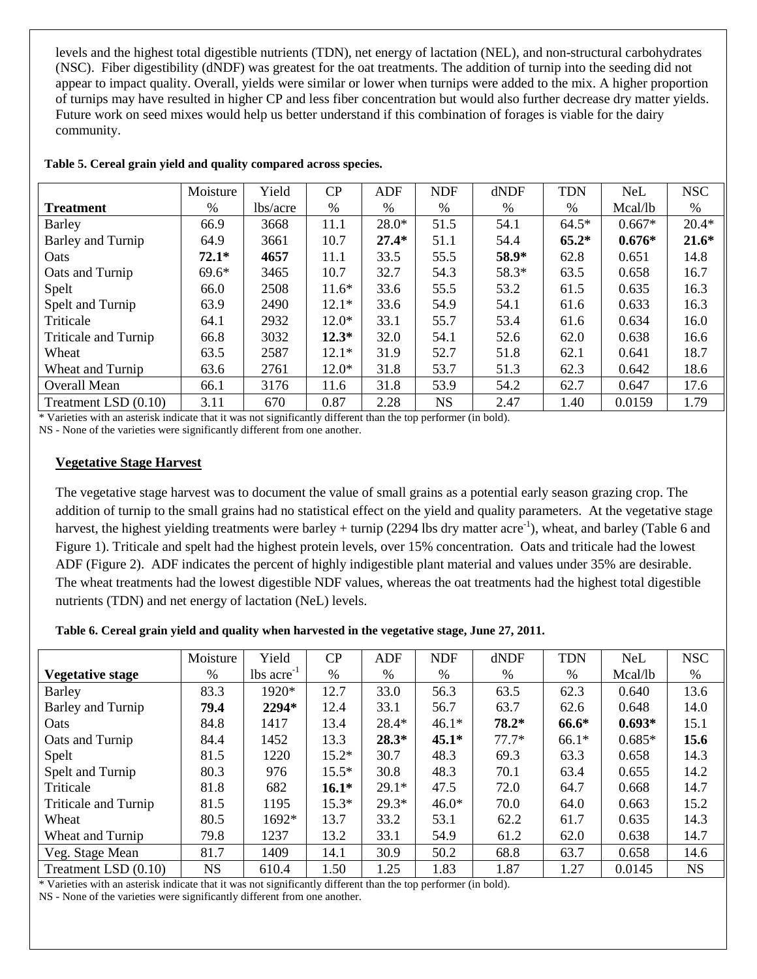levels and the highest total digestible nutrients (TDN), net energy of lactation (NEL), and non-structural carbohydrates (NSC). Fiber digestibility (dNDF) was greatest for the oat treatments. The addition of turnip into the seeding did not appear to impact quality. Overall, yields were similar or lower when turnips were added to the mix. A higher proportion of turnips may have resulted in higher CP and less fiber concentration but would also further decrease dry matter yields. Future work on seed mixes would help us better understand if this combination of forages is viable for the dairy community.

|                             | Moisture | Yield    | CP      | ADF     | <b>NDF</b> | dNDF  | <b>TDN</b> | <b>NeL</b> | <b>NSC</b> |
|-----------------------------|----------|----------|---------|---------|------------|-------|------------|------------|------------|
| <b>Treatment</b>            | %        | lbs/acre | %       | %       | $\%$       | %     | %          | Mcal/lb    | $\%$       |
| Barley                      | 66.9     | 3668     | 11.1    | $28.0*$ | 51.5       | 54.1  | $64.5*$    | $0.667*$   | $20.4*$    |
| Barley and Turnip           | 64.9     | 3661     | 10.7    | $27.4*$ | 51.1       | 54.4  | $65.2*$    | $0.676*$   | $21.6*$    |
| Oats                        | $72.1*$  | 4657     | 11.1    | 33.5    | 55.5       | 58.9* | 62.8       | 0.651      | 14.8       |
| Oats and Turnip             | $69.6*$  | 3465     | 10.7    | 32.7    | 54.3       | 58.3* | 63.5       | 0.658      | 16.7       |
| Spelt                       | 66.0     | 2508     | $11.6*$ | 33.6    | 55.5       | 53.2  | 61.5       | 0.635      | 16.3       |
| Spelt and Turnip            | 63.9     | 2490     | $12.1*$ | 33.6    | 54.9       | 54.1  | 61.6       | 0.633      | 16.3       |
| Triticale                   | 64.1     | 2932     | $12.0*$ | 33.1    | 55.7       | 53.4  | 61.6       | 0.634      | 16.0       |
| <b>Triticale and Turnip</b> | 66.8     | 3032     | $12.3*$ | 32.0    | 54.1       | 52.6  | 62.0       | 0.638      | 16.6       |
| Wheat                       | 63.5     | 2587     | $12.1*$ | 31.9    | 52.7       | 51.8  | 62.1       | 0.641      | 18.7       |
| Wheat and Turnip            | 63.6     | 2761     | $12.0*$ | 31.8    | 53.7       | 51.3  | 62.3       | 0.642      | 18.6       |
| <b>Overall Mean</b>         | 66.1     | 3176     | 11.6    | 31.8    | 53.9       | 54.2  | 62.7       | 0.647      | 17.6       |
| Treatment LSD (0.10)        | 3.11     | 670      | 0.87    | 2.28    | <b>NS</b>  | 2.47  | 1.40       | 0.0159     | 1.79       |

| Table 5. Cereal grain yield and quality compared across species. |  |  |  |  |  |
|------------------------------------------------------------------|--|--|--|--|--|
|                                                                  |  |  |  |  |  |

\* Varieties with an asterisk indicate that it was not significantly different than the top performer (in bold). NS - None of the varieties were significantly different from one another.

### **Vegetative Stage Harvest**

The vegetative stage harvest was to document the value of small grains as a potential early season grazing crop. The addition of turnip to the small grains had no statistical effect on the yield and quality parameters. At the vegetative stage harvest, the highest yielding treatments were barley + turnip (2294 lbs dry matter acre<sup>-1</sup>), wheat, and barley (Table 6 and Figure 1). Triticale and spelt had the highest protein levels, over 15% concentration. Oats and triticale had the lowest ADF (Figure 2). ADF indicates the percent of highly indigestible plant material and values under 35% are desirable. The wheat treatments had the lowest digestible NDF values, whereas the oat treatments had the highest total digestible nutrients (TDN) and net energy of lactation (NeL) levels.

**Table 6. Cereal grain yield and quality when harvested in the vegetative stage, June 27, 2011.**

|                      | Moisture  | Yield                    | CP      | <b>ADF</b> | <b>NDF</b> | dNDF    | <b>TDN</b> | <b>NeL</b> | <b>NSC</b> |
|----------------------|-----------|--------------------------|---------|------------|------------|---------|------------|------------|------------|
| Vegetative stage     | $\%$      | $lbs$ acre <sup>-1</sup> | $\%$    | %          | %          | $\%$    | %          | Mcal/lb    | $\%$       |
| <b>Barley</b>        | 83.3      | 1920*                    | 12.7    | 33.0       | 56.3       | 63.5    | 62.3       | 0.640      | 13.6       |
| Barley and Turnip    | 79.4      | 2294*                    | 12.4    | 33.1       | 56.7       | 63.7    | 62.6       | 0.648      | 14.0       |
| Oats                 | 84.8      | 1417                     | 13.4    | 28.4*      | $46.1*$    | $78.2*$ | 66.6*      | $0.693*$   | 15.1       |
| Oats and Turnip      | 84.4      | 1452                     | 13.3    | $28.3*$    | $45.1*$    | $77.7*$ | $66.1*$    | $0.685*$   | 15.6       |
| Spelt                | 81.5      | 1220                     | $15.2*$ | 30.7       | 48.3       | 69.3    | 63.3       | 0.658      | 14.3       |
| Spelt and Turnip     | 80.3      | 976                      | $15.5*$ | 30.8       | 48.3       | 70.1    | 63.4       | 0.655      | 14.2       |
| Triticale            | 81.8      | 682                      | $16.1*$ | $29.1*$    | 47.5       | 72.0    | 64.7       | 0.668      | 14.7       |
| Triticale and Turnip | 81.5      | 1195                     | $15.3*$ | $29.3*$    | $46.0*$    | 70.0    | 64.0       | 0.663      | 15.2       |
| Wheat                | 80.5      | $1692*$                  | 13.7    | 33.2       | 53.1       | 62.2    | 61.7       | 0.635      | 14.3       |
| Wheat and Turnip     | 79.8      | 1237                     | 13.2    | 33.1       | 54.9       | 61.2    | 62.0       | 0.638      | 14.7       |
| Veg. Stage Mean      | 81.7      | 1409                     | 14.1    | 30.9       | 50.2       | 68.8    | 63.7       | 0.658      | 14.6       |
| Treatment LSD (0.10) | <b>NS</b> | 610.4                    | 1.50    | 1.25       | 1.83       | 1.87    | 1.27       | 0.0145     | <b>NS</b>  |

\* Varieties with an asterisk indicate that it was not significantly different than the top performer (in bold).

NS - None of the varieties were significantly different from one another.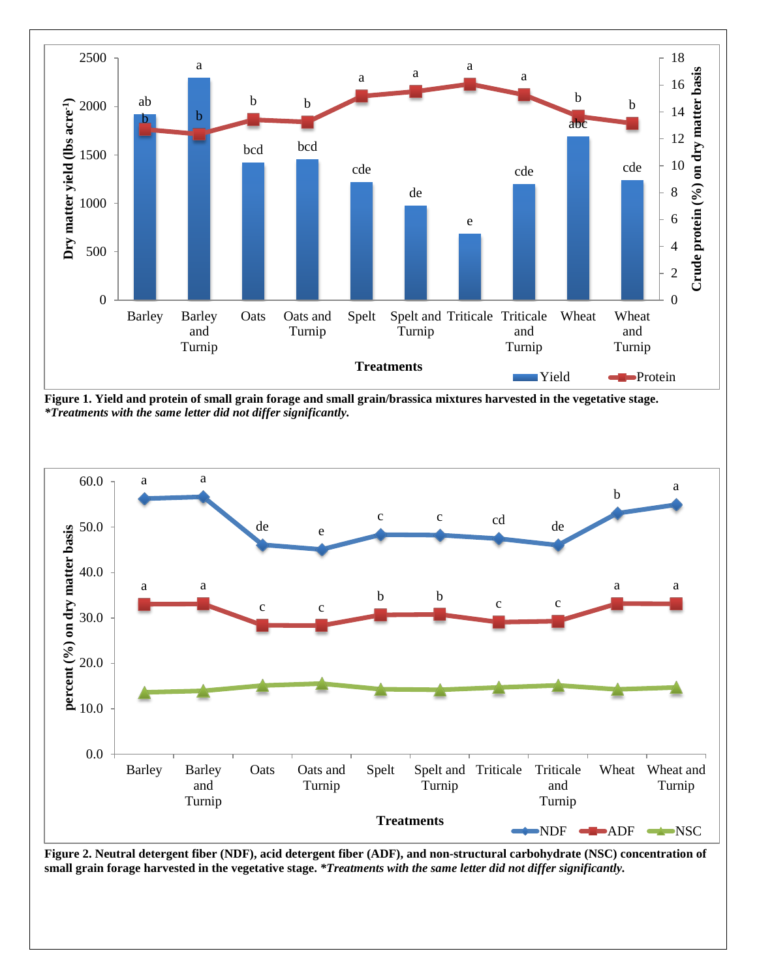

**Figure 1. Yield and protein of small grain forage and small grain/brassica mixtures harvested in the vegetative stage.** *\*Treatments with the same letter did not differ significantly.*



**Figure 2. Neutral detergent fiber (NDF), acid detergent fiber (ADF), and non-structural carbohydrate (NSC) concentration of small grain forage harvested in the vegetative stage.** *\*Treatments with the same letter did not differ significantly.*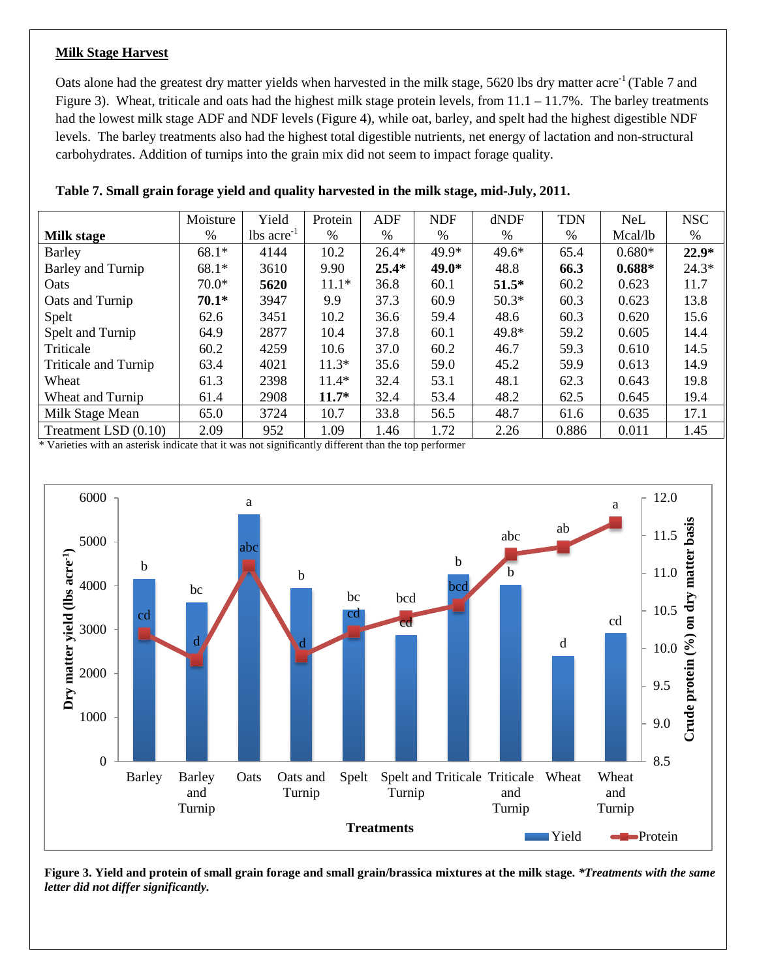#### **Milk Stage Harvest**

Oats alone had the greatest dry matter yields when harvested in the milk stage, 5620 lbs dry matter acre<sup>-1</sup> (Table 7 and Figure 3). Wheat, triticale and oats had the highest milk stage protein levels, from 11.1 – 11.7%. The barley treatments had the lowest milk stage ADF and NDF levels (Figure 4), while oat, barley, and spelt had the highest digestible NDF levels. The barley treatments also had the highest total digestible nutrients, net energy of lactation and non-structural carbohydrates. Addition of turnips into the grain mix did not seem to impact forage quality.

|                      | Moisture      | Yield                    | Protein | <b>ADF</b> | <b>NDF</b> | dNDF    | <b>TDN</b> | <b>NeL</b> | <b>NSC</b> |
|----------------------|---------------|--------------------------|---------|------------|------------|---------|------------|------------|------------|
| <b>Milk stage</b>    | $\frac{0}{0}$ | $lbs$ acre <sup>-1</sup> | %       | %          | %          | %       | %          | Mcal/lb    | %          |
| Barley               | $68.1*$       | 4144                     | 10.2    | $26.4*$    | $49.9*$    | $49.6*$ | 65.4       | $0.680*$   | $22.9*$    |
| Barley and Turnip    | 68.1*         | 3610                     | 9.90    | $25.4*$    | $49.0*$    | 48.8    | 66.3       | $0.688*$   | $24.3*$    |
| Oats                 | $70.0*$       | 5620                     | $11.1*$ | 36.8       | 60.1       | $51.5*$ | 60.2       | 0.623      | 11.7       |
| Oats and Turnip      | $70.1*$       | 3947                     | 9.9     | 37.3       | 60.9       | $50.3*$ | 60.3       | 0.623      | 13.8       |
| Spelt                | 62.6          | 3451                     | 10.2    | 36.6       | 59.4       | 48.6    | 60.3       | 0.620      | 15.6       |
| Spelt and Turnip     | 64.9          | 2877                     | 10.4    | 37.8       | 60.1       | 49.8*   | 59.2       | 0.605      | 14.4       |
| Triticale            | 60.2          | 4259                     | 10.6    | 37.0       | 60.2       | 46.7    | 59.3       | 0.610      | 14.5       |
| Triticale and Turnip | 63.4          | 4021                     | $11.3*$ | 35.6       | 59.0       | 45.2    | 59.9       | 0.613      | 14.9       |
| Wheat                | 61.3          | 2398                     | $11.4*$ | 32.4       | 53.1       | 48.1    | 62.3       | 0.643      | 19.8       |
| Wheat and Turnip     | 61.4          | 2908                     | $11.7*$ | 32.4       | 53.4       | 48.2    | 62.5       | 0.645      | 19.4       |
| Milk Stage Mean      | 65.0          | 3724                     | 10.7    | 33.8       | 56.5       | 48.7    | 61.6       | 0.635      | 17.1       |
| Treatment LSD (0.10) | 2.09          | 952                      | 1.09    | 1.46       | 1.72       | 2.26    | 0.886      | 0.011      | 1.45       |

| Table 7. Small grain forage yield and quality harvested in the milk stage, mid-July, 2011. |  |  |  |  |  |  |  |  |
|--------------------------------------------------------------------------------------------|--|--|--|--|--|--|--|--|
|--------------------------------------------------------------------------------------------|--|--|--|--|--|--|--|--|

\* Varieties with an asterisk indicate that it was not significantly different than the top performer



**Figure 3. Yield and protein of small grain forage and small grain/brassica mixtures at the milk stage.** *\*Treatments with the same letter did not differ significantly.*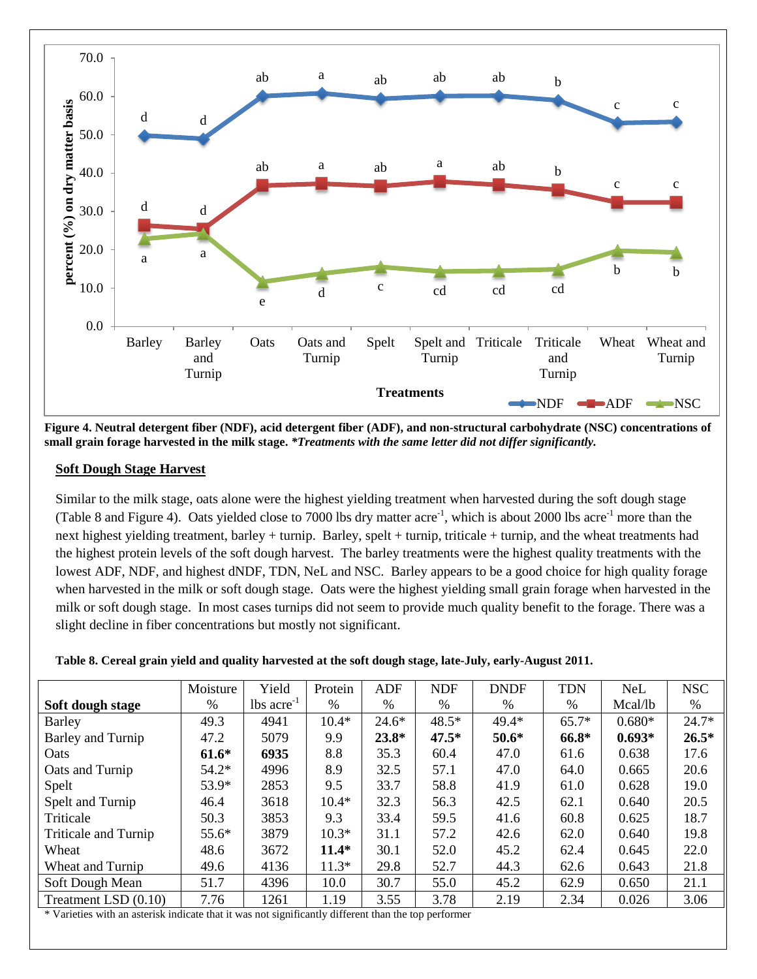

**Figure 4. Neutral detergent fiber (NDF), acid detergent fiber (ADF), and non-structural carbohydrate (NSC) concentrations of small grain forage harvested in the milk stage.** *\*Treatments with the same letter did not differ significantly.*

### **Soft Dough Stage Harvest**

Similar to the milk stage, oats alone were the highest yielding treatment when harvested during the soft dough stage (Table 8 and Figure 4). Oats yielded close to 7000 lbs dry matter acre<sup>-1</sup>, which is about 2000 lbs acre<sup>-1</sup> more than the next highest yielding treatment, barley + turnip. Barley, spelt + turnip, triticale + turnip, and the wheat treatments had the highest protein levels of the soft dough harvest. The barley treatments were the highest quality treatments with the lowest ADF, NDF, and highest dNDF, TDN, NeL and NSC. Barley appears to be a good choice for high quality forage when harvested in the milk or soft dough stage. Oats were the highest yielding small grain forage when harvested in the milk or soft dough stage. In most cases turnips did not seem to provide much quality benefit to the forage. There was a slight decline in fiber concentrations but mostly not significant.

|                      | Moisture | Yield                    | Protein | <b>ADF</b> | <b>NDF</b> | <b>DNDF</b> | <b>TDN</b>    | <b>NeL</b> | <b>NSC</b> |
|----------------------|----------|--------------------------|---------|------------|------------|-------------|---------------|------------|------------|
| Soft dough stage     | $\%$     | $lbs$ acre <sup>-1</sup> | $\%$    | $\%$       | $\%$       | %           | $\frac{0}{0}$ | Mcal/lb    | $\%$       |
| <b>Barley</b>        | 49.3     | 4941                     | $10.4*$ | $24.6*$    | $48.5*$    | 49.4*       | $65.7*$       | $0.680*$   | $24.7*$    |
| Barley and Turnip    | 47.2     | 5079                     | 9.9     | $23.8*$    | $47.5*$    | $50.6*$     | 66.8*         | $0.693*$   | $26.5*$    |
| Oats                 | $61.6*$  | 6935                     | 8.8     | 35.3       | 60.4       | 47.0        | 61.6          | 0.638      | 17.6       |
| Oats and Turnip      | $54.2*$  | 4996                     | 8.9     | 32.5       | 57.1       | 47.0        | 64.0          | 0.665      | 20.6       |
| Spelt                | $53.9*$  | 2853                     | 9.5     | 33.7       | 58.8       | 41.9        | 61.0          | 0.628      | 19.0       |
| Spelt and Turnip     | 46.4     | 3618                     | $10.4*$ | 32.3       | 56.3       | 42.5        | 62.1          | 0.640      | 20.5       |
| Triticale            | 50.3     | 3853                     | 9.3     | 33.4       | 59.5       | 41.6        | 60.8          | 0.625      | 18.7       |
| Triticale and Turnip | $55.6*$  | 3879                     | $10.3*$ | 31.1       | 57.2       | 42.6        | 62.0          | 0.640      | 19.8       |
| Wheat                | 48.6     | 3672                     | $11.4*$ | 30.1       | 52.0       | 45.2        | 62.4          | 0.645      | 22.0       |
| Wheat and Turnip     | 49.6     | 4136                     | $11.3*$ | 29.8       | 52.7       | 44.3        | 62.6          | 0.643      | 21.8       |
| Soft Dough Mean      | 51.7     | 4396                     | 10.0    | 30.7       | 55.0       | 45.2        | 62.9          | 0.650      | 21.1       |
| Treatment LSD (0.10) | 7.76     | 1261                     | 1.19    | 3.55       | 3.78       | 2.19        | 2.34          | 0.026      | 3.06       |

Varieties with an asterisk indicate that it was not significantly different than the top performer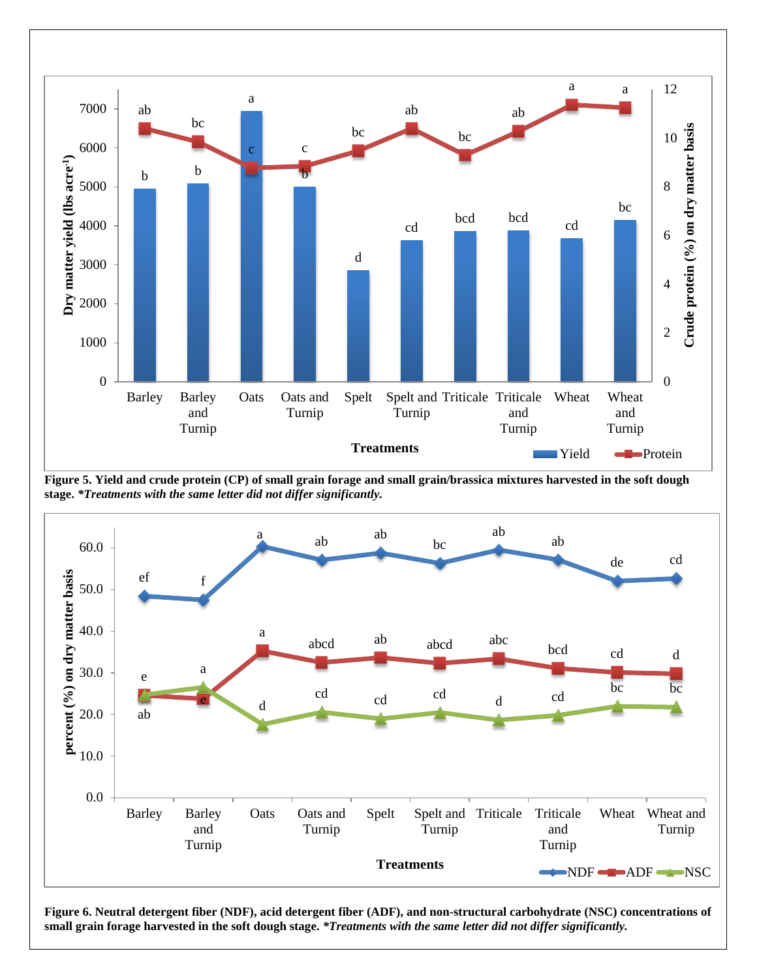

**Figure 5. Yield and crude protein (CP) of small grain forage and small grain/brassica mixtures harvested in the soft dough stage.** *\*Treatments with the same letter did not differ significantly.*



**Figure 6. Neutral detergent fiber (NDF), acid detergent fiber (ADF), and non-structural carbohydrate (NSC) concentrations of small grain forage harvested in the soft dough stage.** *\*Treatments with the same letter did not differ significantly.*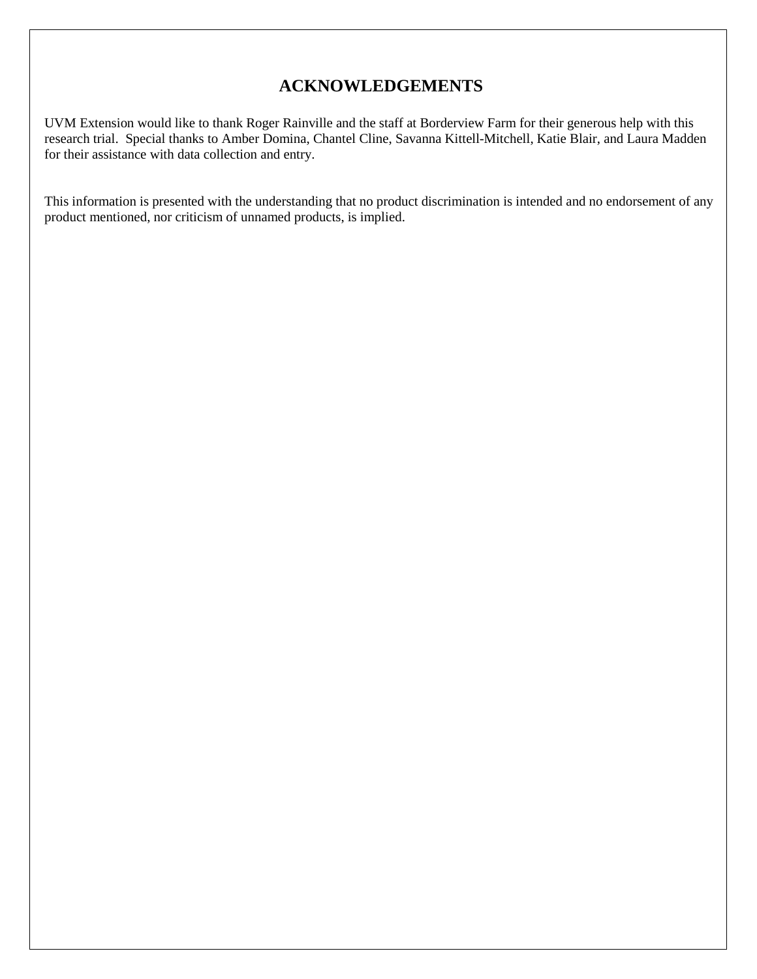## **ACKNOWLEDGEMENTS**

UVM Extension would like to thank Roger Rainville and the staff at Borderview Farm for their generous help with this research trial. Special thanks to Amber Domina, Chantel Cline, Savanna Kittell-Mitchell, Katie Blair, and Laura Madden for their assistance with data collection and entry.

This information is presented with the understanding that no product discrimination is intended and no endorsement of any product mentioned, nor criticism of unnamed products, is implied.